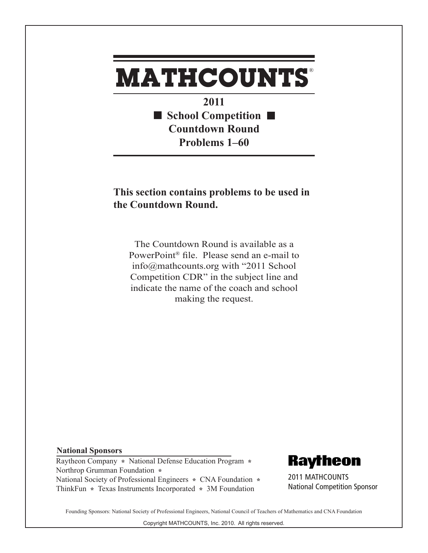## **MATHCOUNTS** ®

**2011 School Competition Countdown Round Problems 1–60**

## **This section contains problems to be used in the Countdown Round.**

The Countdown Round is available as a PowerPoint® file. Please send an e-mail to info@mathcounts.org with "2011 School Competition CDR" in the subject line and indicate the name of the coach and school making the request.

## **National Sponsors**

Raytheon Company **\*** National Defense Education Program **\***  Northrop Grumman Foundation **\***  National Society of Professional Engineers **\*** CNA Foundation **\***  ThinkFun **\*** Texas Instruments Incorporated **\*** 3M Foundation

**Raytheon** 

2011 MATHCOUNTS National Competition Sponsor

Founding Sponsors: National Society of Professional Engineers, National Council of Teachers of Mathematics and CNA Foundation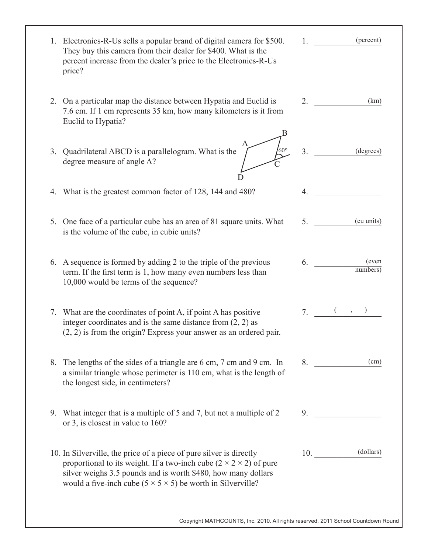| 1. Electronics-R-Us sells a popular brand of digital camera for \$500.<br>They buy this camera from their dealer for \$400. What is the<br>percent increase from the dealer's price to the Electronics-R-Us<br>price?                                                                             | (percent)<br>1.             |
|---------------------------------------------------------------------------------------------------------------------------------------------------------------------------------------------------------------------------------------------------------------------------------------------------|-----------------------------|
| 2. On a particular map the distance between Hypatia and Euclid is<br>7.6 cm. If 1 cm represents 35 km, how many kilometers is it from<br>Euclid to Hypatia?                                                                                                                                       | 2.<br>(km)                  |
| $\int_{S}$<br>3. Quadrilateral ABCD is a parallelogram. What is the<br>degree measure of angle A?                                                                                                                                                                                                 | 3 <sub>1</sub><br>(degrees) |
| What is the greatest common factor of 128, 144 and 480?<br>4.                                                                                                                                                                                                                                     | 4.                          |
| 5. One face of a particular cube has an area of 81 square units. What<br>is the volume of the cube, in cubic units?                                                                                                                                                                               | (cu units)<br>5.            |
| 6. A sequence is formed by adding 2 to the triple of the previous<br>term. If the first term is 1, how many even numbers less than<br>10,000 would be terms of the sequence?                                                                                                                      | (even<br>6.<br>numbers)     |
| 7. What are the coordinates of point A, if point A has positive<br>integer coordinates and is the same distance from $(2, 2)$ as<br>$(2, 2)$ is from the origin? Express your answer as an ordered pair.                                                                                          | $7.$ $($ ,                  |
| 8. The lengths of the sides of a triangle are 6 cm, 7 cm and 9 cm. In<br>a similar triangle whose perimeter is 110 cm, what is the length of<br>the longest side, in centimeters?                                                                                                                 | (cm)<br>8.                  |
| 9. What integer that is a multiple of 5 and 7, but not a multiple of 2<br>or 3, is closest in value to 160?                                                                                                                                                                                       | 9.                          |
| 10. In Silverville, the price of a piece of pure silver is directly<br>proportional to its weight. If a two-inch cube $(2 \times 2 \times 2)$ of pure<br>silver weighs 3.5 pounds and is worth \$480, how many dollars<br>would a five-inch cube $(5 \times 5 \times 5)$ be worth in Silverville? | $10.$ (dollars)             |
| Copyright MATHCOUNTS, Inc. 2010. All rights reserved. 2011 School Countdown Round                                                                                                                                                                                                                 |                             |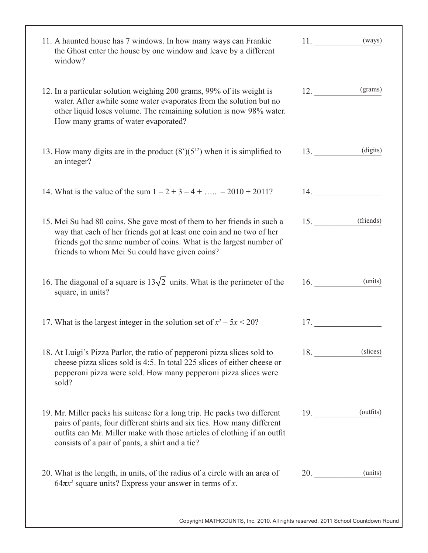| 11. A haunted house has 7 windows. In how many ways can Frankie<br>the Ghost enter the house by one window and leave by a different<br>window?                                                                                                                                     | $11.$ (ways)  |           |
|------------------------------------------------------------------------------------------------------------------------------------------------------------------------------------------------------------------------------------------------------------------------------------|---------------|-----------|
| 12. In a particular solution weighing 200 grams, 99% of its weight is<br>water. After awhile some water evaporates from the solution but no<br>other liquid loses volume. The remaining solution is now 98% water.<br>How many grams of water evaporated?                          | 12.           | (grams)   |
| 13. How many digits are in the product $(83)(512)$ when it is simplified to<br>an integer?                                                                                                                                                                                         | 13.           | (digits)  |
| 14. What is the value of the sum $1 - 2 + 3 - 4 + \dots -2010 + 2011$ ?                                                                                                                                                                                                            | 14.           |           |
| 15. Mei Su had 80 coins. She gave most of them to her friends in such a<br>way that each of her friends got at least one coin and no two of her<br>friends got the same number of coins. What is the largest number of<br>friends to whom Mei Su could have given coins?           | 15. (friends) |           |
| 16. The diagonal of a square is $13\sqrt{2}$ units. What is the perimeter of the<br>square, in units?                                                                                                                                                                              | 16.           | (units)   |
| 17. What is the largest integer in the solution set of $x^2 - 5x < 20$ ?                                                                                                                                                                                                           | 17.           |           |
| 18. At Luigi's Pizza Parlor, the ratio of pepperoni pizza slices sold to<br>cheese pizza slices sold is 4:5. In total 225 slices of either cheese or<br>pepperoni pizza were sold. How many pepperoni pizza slices were<br>sold?                                                   | 18.           | (slices)  |
| 19. Mr. Miller packs his suitcase for a long trip. He packs two different<br>pairs of pants, four different shirts and six ties. How many different<br>outfits can Mr. Miller make with those articles of clothing if an outfit<br>consists of a pair of pants, a shirt and a tie? | 19.           | (outfits) |
| 20. What is the length, in units, of the radius of a circle with an area of<br>$64\pi x^2$ square units? Express your answer in terms of x.                                                                                                                                        | 20.           | (units)   |
| Copyright MATHCOUNTS, Inc. 2010. All rights reserved. 2011 School Countdown Round                                                                                                                                                                                                  |               |           |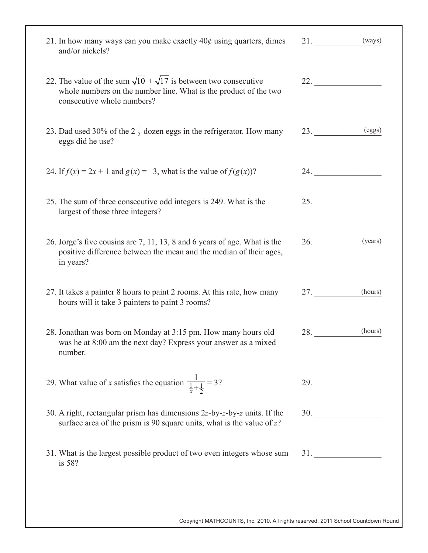| 21. In how many ways can you make exactly $40¢$ using quarters, dimes<br>and/or nickels?                                                                                      | (ways)<br>21.  |
|-------------------------------------------------------------------------------------------------------------------------------------------------------------------------------|----------------|
| 22. The value of the sum $\sqrt{10} + \sqrt{17}$ is between two consecutive<br>whole numbers on the number line. What is the product of the two<br>consecutive whole numbers? |                |
| 23. Dad used 30% of the $2\frac{1}{2}$ dozen eggs in the refrigerator. How many<br>eggs did he use?                                                                           | (eggs)<br>23.  |
| 24. If $f(x) = 2x + 1$ and $g(x) = -3$ , what is the value of $f(g(x))$ ?                                                                                                     | 24.            |
| 25. The sum of three consecutive odd integers is 249. What is the<br>largest of those three integers?                                                                         | 25.            |
| 26. Jorge's five cousins are 7, 11, 13, 8 and 6 years of age. What is the<br>positive difference between the mean and the median of their ages,<br>in years?                  | 26.<br>(years) |
| 27. It takes a painter 8 hours to paint 2 rooms. At this rate, how many<br>hours will it take 3 painters to paint 3 rooms?                                                    | 27.<br>(hours) |
| 28. Jonathan was born on Monday at 3:15 pm. How many hours old<br>was he at 8:00 am the next day? Express your answer as a mixed<br>number.                                   | (hours)<br>28. |
| 29. What value of x satisfies the equation $\frac{1}{\frac{1}{x} + \frac{1}{2}} = 3$ ?                                                                                        | 29.            |
| 30. A right, rectangular prism has dimensions $2z$ -by-z-by-z units. If the<br>surface area of the prism is 90 square units, what is the value of $z$ ?                       | 30.            |
| 31. What is the largest possible product of two even integers whose sum<br>is 58?                                                                                             |                |

Copyright MATHCOUNTS, Inc. 2010. All rights reserved. 2011 School Countdown Round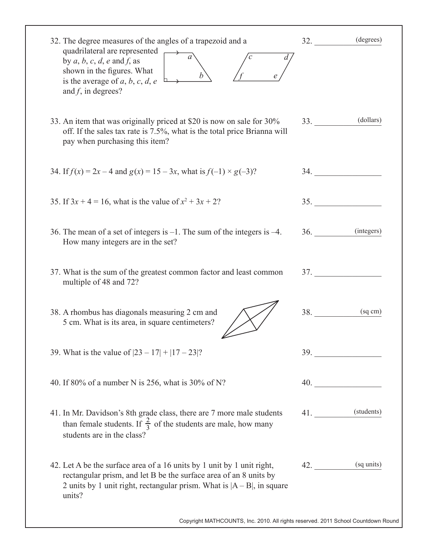| 32. The degree measures of the angles of a trapezoid and a                                                                                                                                                                         | 32.        | (degrees)        |
|------------------------------------------------------------------------------------------------------------------------------------------------------------------------------------------------------------------------------------|------------|------------------|
| quadrilateral are represented<br>by $a, b, c, d, e$ and $f$ , as<br>shown in the figures. What<br>is the average of a, b, c, d, e<br>and $f$ , in degrees?                                                                         |            |                  |
| 33. An item that was originally priced at \$20 is now on sale for 30%<br>off. If the sales tax rate is 7.5%, what is the total price Brianna will<br>pay when purchasing this item?                                                | 33.        | (dollars)        |
| 34. If $f(x) = 2x - 4$ and $g(x) = 15 - 3x$ , what is $f(-1) \times g(-3)$ ?                                                                                                                                                       |            | 34.              |
| 35. If $3x + 4 = 16$ , what is the value of $x^2 + 3x + 2$ ?                                                                                                                                                                       | <b>35.</b> |                  |
| 36. The mean of a set of integers is $-1$ . The sum of the integers is $-4$ .<br>How many integers are in the set?                                                                                                                 |            | $36.$ (integers) |
| 37. What is the sum of the greatest common factor and least common<br>multiple of 48 and 72?                                                                                                                                       |            | 37.              |
| 38. A rhombus has diagonals measuring 2 cm and<br>5 cm. What is its area, in square centimeters?                                                                                                                                   | 38.        | (sq cm)          |
| 39. What is the value of $ 23 - 17  +  17 - 23 $ ?                                                                                                                                                                                 |            | 39.              |
| 40. If 80% of a number N is 256, what is 30% of N?                                                                                                                                                                                 |            | 40.              |
| 41. In Mr. Davidson's 8th grade class, there are 7 more male students<br>than female students. If $\frac{2}{3}$ of the students are male, how many<br>students are in the class?                                                   |            | 41. (students)   |
| 42. Let A be the surface area of a 16 units by 1 unit by 1 unit right,<br>rectangular prism, and let B be the surface area of an 8 units by<br>2 units by 1 unit right, rectangular prism. What is $ A - B $ , in square<br>units? | 42.        | (sq units)       |
| Copyright MATHCOUNTS, Inc. 2010. All rights reserved. 2011 School Countdown Round                                                                                                                                                  |            |                  |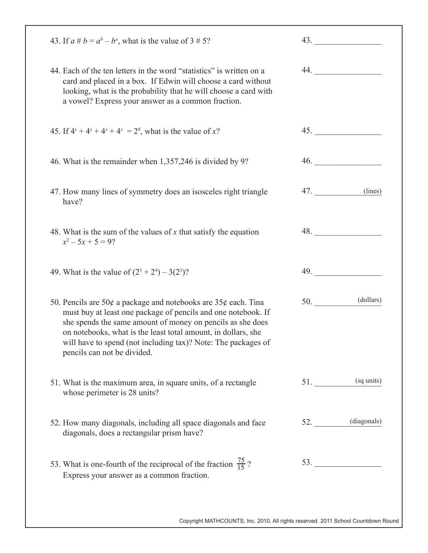| 43. If $a \# b = a^b - b^a$ , what is the value of 3 # 5?                                                                                                                                                                                                                                                                                                                  |     | 43.                               |
|----------------------------------------------------------------------------------------------------------------------------------------------------------------------------------------------------------------------------------------------------------------------------------------------------------------------------------------------------------------------------|-----|-----------------------------------|
| 44. Each of the ten letters in the word "statistics" is written on a<br>card and placed in a box. If Edwin will choose a card without<br>looking, what is the probability that he will choose a card with<br>a vowel? Express your answer as a common fraction.                                                                                                            |     | 44.                               |
| 45. If $4^x + 4^x + 4^x + 4^x = 2^8$ , what is the value of x?                                                                                                                                                                                                                                                                                                             |     |                                   |
| 46. What is the remainder when 1,357,246 is divided by 9?                                                                                                                                                                                                                                                                                                                  |     | 46.                               |
| 47. How many lines of symmetry does an isosceles right triangle<br>have?                                                                                                                                                                                                                                                                                                   | 47. | (lines)                           |
| 48. What is the sum of the values of $x$ that satisfy the equation<br>$x^2 - 5x + 5 = 9$ ?                                                                                                                                                                                                                                                                                 |     | 48.                               |
| 49. What is the value of $(2^3 + 2^4) - 3(2^3)$ ?                                                                                                                                                                                                                                                                                                                          |     | 49.                               |
| 50. Pencils are 50 $\phi$ a package and notebooks are 35 $\phi$ each. Tina<br>must buy at least one package of pencils and one notebook. If<br>she spends the same amount of money on pencils as she does<br>on notebooks, what is the least total amount, in dollars, she<br>will have to spend (not including tax)? Note: The packages of<br>pencils can not be divided. | 50. | (dollars)                         |
| 51. What is the maximum area, in square units, of a rectangle<br>whose perimeter is 28 units?                                                                                                                                                                                                                                                                              | 51. | (sq units)                        |
| 52. How many diagonals, including all space diagonals and face<br>diagonals, does a rectangular prism have?                                                                                                                                                                                                                                                                |     | 52. (diagonals)                   |
| 53. What is one-fourth of the reciprocal of the fraction $\frac{75}{15}$ ?<br>Express your answer as a common fraction.                                                                                                                                                                                                                                                    |     | $53.$ $\overline{\qquad \qquad }$ |
|                                                                                                                                                                                                                                                                                                                                                                            |     |                                   |

Copyright MATHCOUNTS, Inc. 2010. All rights reserved. 2011 School Countdown Round